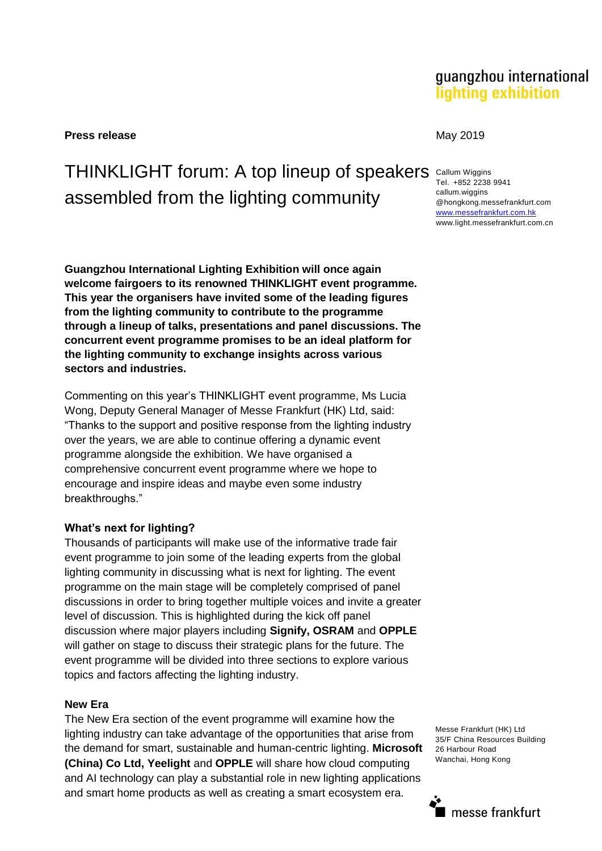**Press release** May 2019

# THINKLIGHT forum: A top lineup of speakers Callum Wiggins assembled from the lighting community

**Guangzhou International Lighting Exhibition will once again welcome fairgoers to its renowned THINKLIGHT event programme. This year the organisers have invited some of the leading figures from the lighting community to contribute to the programme through a lineup of talks, presentations and panel discussions. The concurrent event programme promises to be an ideal platform for the lighting community to exchange insights across various sectors and industries.**

Commenting on this year's THINKLIGHT event programme, Ms Lucia Wong, Deputy General Manager of Messe Frankfurt (HK) Ltd, said: "Thanks to the support and positive response from the lighting industry over the years, we are able to continue offering a dynamic event programme alongside the exhibition. We have organised a comprehensive concurrent event programme where we hope to encourage and inspire ideas and maybe even some industry breakthroughs."

#### **What's next for lighting?**

Thousands of participants will make use of the informative trade fair event programme to join some of the leading experts from the global lighting community in discussing what is next for lighting. The event programme on the main stage will be completely comprised of panel discussions in order to bring together multiple voices and invite a greater level of discussion. This is highlighted during the kick off panel discussion where major players including **Signify, OSRAM** and **OPPLE**  will gather on stage to discuss their strategic plans for the future. The event programme will be divided into three sections to explore various topics and factors affecting the lighting industry.

#### **New Era**

The New Era section of the event programme will examine how the lighting industry can take advantage of the opportunities that arise from the demand for smart, sustainable and human-centric lighting. **Microsoft (China) Co Ltd, Yeelight** and **OPPLE** will share how cloud computing and AI technology can play a substantial role in new lighting applications and smart home products as well as creating a smart ecosystem era.

Tel. +852 2238 9941 callum.wiggins @hongkong.messefrankfurt.com [www.messefrankfurt.com.hk](http://www.messefrankfurt.com.hk/) www.light.messefrankfurt.com.cn

Messe Frankfurt (HK) Ltd 35/F China Resources Building 26 Harbour Road Wanchai, Hong Kong

## guangzhou international lighting exhibition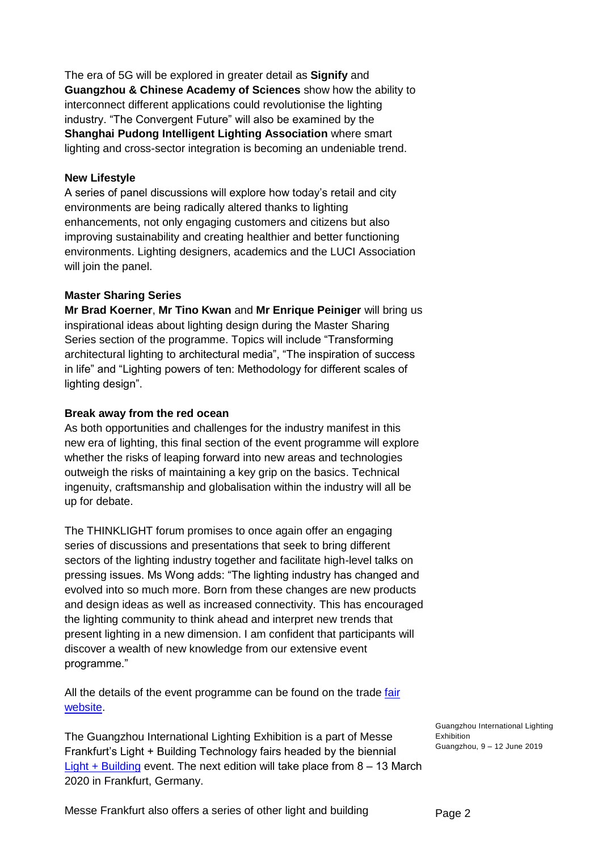The era of 5G will be explored in greater detail as **Signify** and **Guangzhou & Chinese Academy of Sciences** show how the ability to interconnect different applications could revolutionise the lighting industry. "The Convergent Future" will also be examined by the **Shanghai Pudong Intelligent Lighting Association** where smart lighting and cross-sector integration is becoming an undeniable trend.

#### **New Lifestyle**

A series of panel discussions will explore how today's retail and city environments are being radically altered thanks to lighting enhancements, not only engaging customers and citizens but also improving sustainability and creating healthier and better functioning environments. Lighting designers, academics and the LUCI Association will join the panel.

### **Master Sharing Series**

**Mr Brad Koerner**, **Mr Tino Kwan** and **Mr Enrique Peiniger** will bring us inspirational ideas about lighting design during the Master Sharing Series section of the programme. Topics will include "Transforming architectural lighting to architectural media", "The inspiration of success in life" and "Lighting powers of ten: Methodology for different scales of lighting design".

#### **Break away from the red ocean**

As both opportunities and challenges for the industry manifest in this new era of lighting, this final section of the event programme will explore whether the risks of leaping forward into new areas and technologies outweigh the risks of maintaining a key grip on the basics. Technical ingenuity, craftsmanship and globalisation within the industry will all be up for debate.

The THINKLIGHT forum promises to once again offer an engaging series of discussions and presentations that seek to bring different sectors of the lighting industry together and facilitate high-level talks on pressing issues. Ms Wong adds: "The lighting industry has changed and evolved into so much more. Born from these changes are new products and design ideas as well as increased connectivity. This has encouraged the lighting community to think ahead and interpret new trends that present lighting in a new dimension. I am confident that participants will discover a wealth of new knowledge from our extensive event programme."

All the details of the event programme can be found on the trade fair [website.](https://guangzhou-international-lighting-exhibition.hk.messefrankfurt.com/guangzhou/en/programme-events.html#THINKLIGHT)

The Guangzhou International Lighting Exhibition is a part of Messe Frankfurt's Light + Building Technology fairs headed by the biennial **[Light + Building](https://light-building.messefrankfurt.com/frankfurt/en.html) event. The next edition will take place from 8 – 13 March** 2020 in Frankfurt, Germany.

Guangzhou International Lighting Exhibition Guangzhou, 9 – 12 June 2019